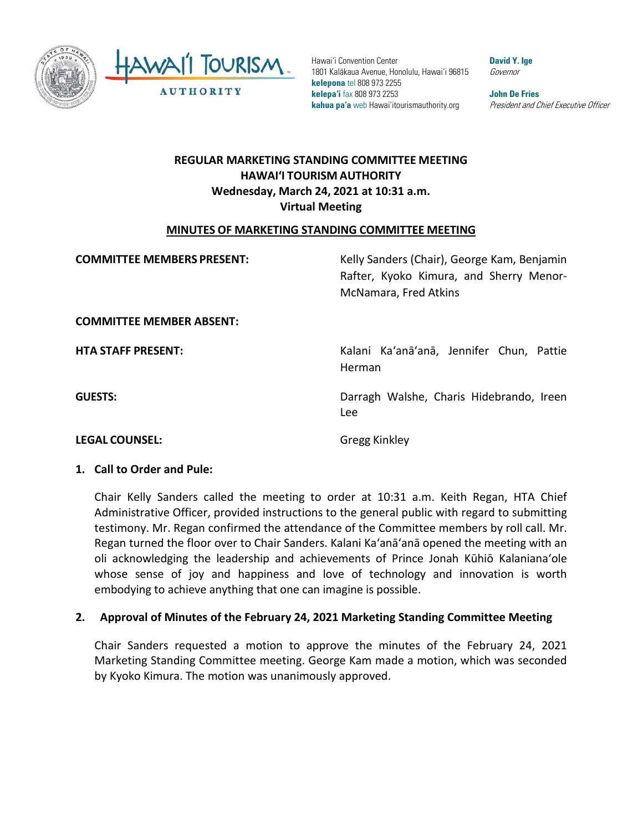

 **kelepona** tel 808 973 2255 **kelepa'i** fax 808 973 2253 **John De Fries**  Hawai'i Convention Center **David Y. Ige Convention Center** 1801 Kalākaua Avenue, Honolulu, Hawai'i 96815 Governor **kahua pa'a** web Hawai'itourismauthority.org *President and Chief Executive Officer* 

# **HAWAI'I TOURISM AUTHORITY REGULAR MARKETING STANDING COMMITTEE MEETING Wednesday, March 24, 2021 at 10:31 a.m. Virtual Meeting**

### **MINUTES OF MARKETING STANDING COMMITTEE MEETING**

| <b>COMMITTEE MEMBERS PRESENT:</b> | Kelly Sanders (Chair), George Kam, Benjamin<br>Rafter, Kyoko Kimura, and Sherry Menor-<br>McNamara, Fred Atkins |
|-----------------------------------|-----------------------------------------------------------------------------------------------------------------|
| <b>COMMITTEE MEMBER ABSENT:</b>   |                                                                                                                 |
| <b>HTA STAFF PRESENT:</b>         | Kalani Ka'anā'anā, Jennifer Chun, Pattie<br>Herman                                                              |
| <b>GUESTS:</b>                    | Darragh Walshe, Charis Hidebrando, Ireen<br><b>Lee</b>                                                          |
| <b>LEGAL COUNSEL:</b>             | Gregg Kinkley                                                                                                   |

### **1. Call to Order and Pule:**

 Administrative Officer, provided instructions to the general public with regard to submitting testimony. Mr. Regan confirmed the attendance of the Committee members by roll call. Mr. Regan turned the floor over to Chair Sanders. Kalani Ka'anā'anā opened the meeting with an oli acknowledging the leadership and achievements of Prince Jonah Kūhiō Kalanianaʻole Chair Kelly Sanders called the meeting to order at 10:31 a.m. Keith Regan, HTA Chief whose sense of joy and happiness and love of technology and innovation is worth embodying to achieve anything that one can imagine is possible.

# **2. Approval of Minutes of the February 24, 2021 Marketing Standing Committee Meeting**

 Chair Sanders requested a motion to approve the minutes of the February 24, 2021 Marketing Standing Committee meeting. George Kam made a motion, which was seconded by Kyoko Kimura. The motion was unanimously approved.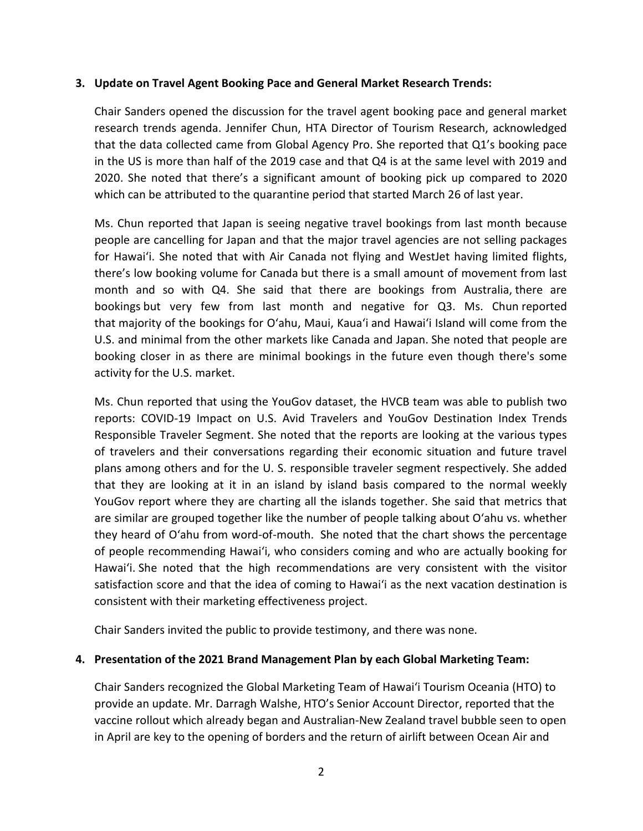### **3. Update on Travel Agent Booking Pace and General Market Research Trends:**

 research trends agenda. Jennifer Chun, HTA Director of Tourism Research, acknowledged 2020. She noted that there's a significant amount of booking pick up compared to 2020 which can be attributed to the quarantine period that started March 26 of last year. Chair Sanders opened the discussion for the travel agent booking pace and general market that the data collected came from Global Agency Pro. She reported that Q1's booking pace in the US is more than half of the 2019 case and that Q4 is at the same level with 2019 and

 people are cancelling for Japan and that the major travel agencies are not selling packages month and so with Q4. She said that there are bookings from Australia, there are bookings but very few from last month and negative for Q3. Ms. Chun reported that majority of the bookings for O'ahu, Maui, Kaua'i and Hawai'i Island will come from the U.S. and minimal from the other markets like Canada and Japan. She noted that people are booking closer in as there are minimal bookings in the future even though there's some activity for the U.S. market. Ms. Chun reported that Japan is seeing negative travel bookings from last month because for Hawai'i. She noted that with Air Canada not flying and WestJet having limited flights, there's low booking volume for Canada but there is a small amount of movement from last

 Ms. Chun reported that using the YouGov dataset, the HVCB team was able to publish two Responsible Traveler Segment. She noted that the reports are looking at the various types are similar are grouped together like the number of people talking about O'ahu vs. whether they heard of O'ahu from word-of-mouth. She noted that the chart shows the percentage of people recommending Hawai'i, who considers coming and who are actually booking for satisfaction score and that the idea of coming to Hawai'i as the next vacation destination is consistent with their marketing effectiveness project. reports: COVID-19 Impact on U.S. Avid Travelers and YouGov Destination Index Trends of travelers and their conversations regarding their economic situation and future travel plans among others and for the U. S. responsible traveler segment respectively. She added that they are looking at it in an island by island basis compared to the normal weekly YouGov report where they are charting all the islands together. She said that metrics that Hawai'i. She noted that the high recommendations are very consistent with the visitor

Chair Sanders invited the public to provide testimony, and there was none.

### **4. Presentation of the 2021 Brand Management Plan by each Global Marketing Team:**

 Chair Sanders recognized the Global Marketing Team of Hawai'i Tourism Oceania (HTO) to provide an update. Mr. Darragh Walshe, HTO's Senior Account Director, reported that the vaccine rollout which already began and Australian-New Zealand travel bubble seen to open in April are key to the opening of borders and the return of airlift between Ocean Air and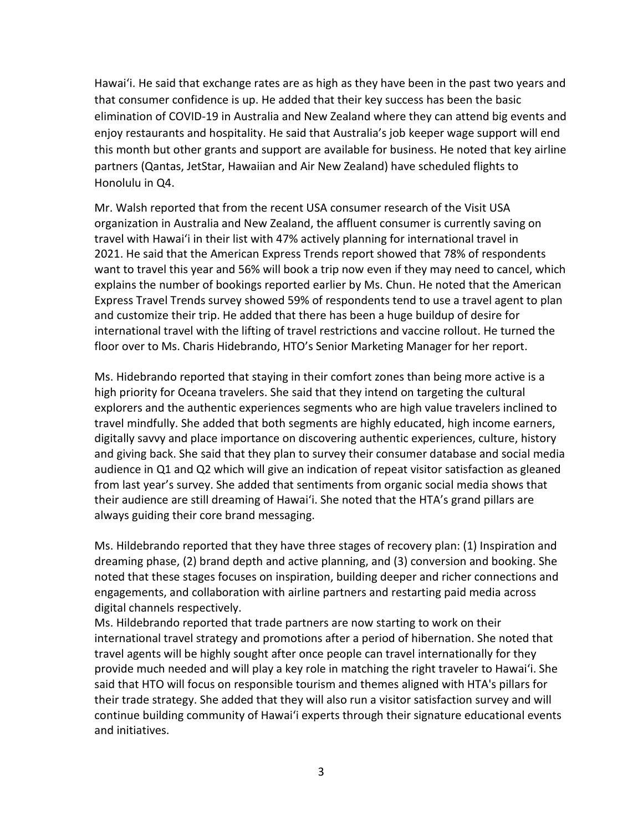elimination of COVID-19 in Australia and New Zealand where they can attend big events and enjoy restaurants and hospitality. He said that Australia's job keeper wage support will end this month but other grants and support are available for business. He noted that key airline Hawai'i. He said that exchange rates are as high as they have been in the past two years and that consumer confidence is up. He added that their key success has been the basic partners (Qantas, JetStar, Hawaiian and Air New Zealand) have scheduled flights to Honolulu in Q4.

 Mr. Walsh reported that from the recent USA consumer research of the Visit USA travel with Hawai'i in their list with 47% actively planning for international travel in Express Travel Trends survey showed 59% of respondents tend to use a travel agent to plan and customize their trip. He added that there has been a huge buildup of desire for international travel with the lifting of travel restrictions and vaccine rollout. He turned the floor over to Ms. Charis Hidebrando, HTO's Senior Marketing Manager for her report. organization in Australia and New Zealand, the affluent consumer is currently saving on 2021. He said that the American Express Trends report showed that 78% of respondents want to travel this year and 56% will book a trip now even if they may need to cancel, which explains the number of bookings reported earlier by Ms. Chun. He noted that the American

 digitally savvy and place importance on discovering authentic experiences, culture, history audience in Q1 and Q2 which will give an indication of repeat visitor satisfaction as gleaned from last year's survey. She added that sentiments from organic social media shows that their audience are still dreaming of Hawai'i. She noted that the HTA's grand pillars are Ms. Hidebrando reported that staying in their comfort zones than being more active is a high priority for Oceana travelers. She said that they intend on targeting the cultural explorers and the authentic experiences segments who are high value travelers inclined to travel mindfully. She added that both segments are highly educated, high income earners, and giving back. She said that they plan to survey their consumer database and social media always guiding their core brand messaging.

 Ms. Hildebrando reported that they have three stages of recovery plan: (1) Inspiration and noted that these stages focuses on inspiration, building deeper and richer connections and digital channels respectively. dreaming phase, (2) brand depth and active planning, and (3) conversion and booking. She engagements, and collaboration with airline partners and restarting paid media across

digital channels respectively.<br>Ms. Hildebrando reported that trade partners are now starting to work on their said that HTO will focus on responsible tourism and themes aligned with HTA's pillars for their trade strategy. She added that they will also run a visitor satisfaction survey and will continue building community of Hawai'i experts through their signature educational events and initiatives. international travel strategy and promotions after a period of hibernation. She noted that travel agents will be highly sought after once people can travel internationally for they provide much needed and will play a key role in matching the right traveler to Hawai'i. She and initiatives.<br>3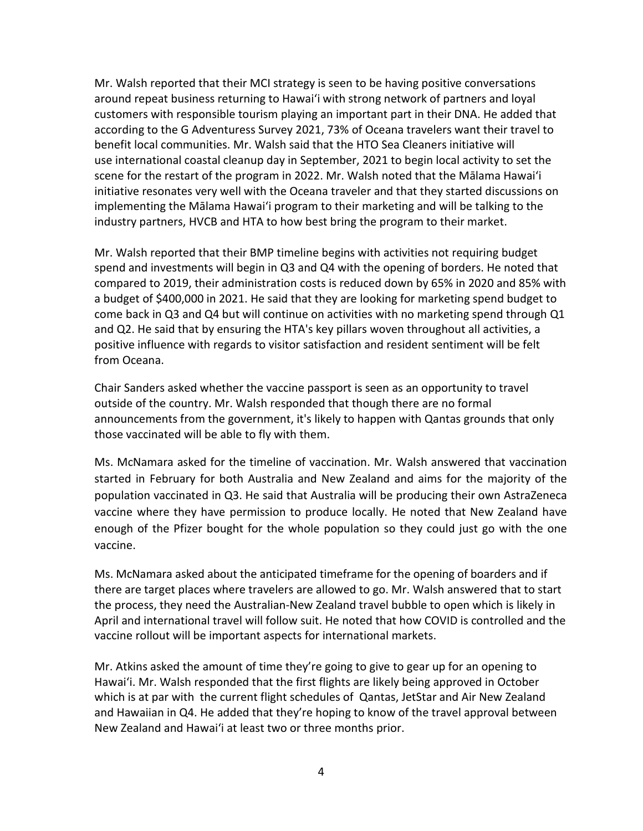Mr. Walsh reported that their MCI strategy is seen to be having positive conversations around repeat business returning to Hawai'i with strong network of partners and loyal customers with responsible tourism playing an important part in their DNA. He added that scene for the restart of the program in 2022. Mr. Walsh noted that the Mālama Hawai'i initiative resonates very well with the Oceana traveler and that they started discussions on implementing the Mālama Hawai'i program to their marketing and will be talking to the industry partners, HVCB and HTA to how best bring the program to their market. according to the G Adventuress Survey 2021, 73% of Oceana travelers want their travel to benefit local communities. Mr. Walsh said that the HTO Sea Cleaners initiative will use international coastal cleanup day in September, 2021 to begin local activity to set the

 spend and investments will begin in Q3 and Q4 with the opening of borders. He noted that a budget of \$400,000 in 2021. He said that they are looking for marketing spend budget to come back in Q3 and Q4 but will continue on activities with no marketing spend through Q1 positive influence with regards to visitor satisfaction and resident sentiment will be felt Mr. Walsh reported that their BMP timeline begins with activities not requiring budget compared to 2019, their administration costs is reduced down by 65% in 2020 and 85% with and Q2. He said that by ensuring the HTA's key pillars woven throughout all activities, a from Oceana.

 outside of the country. Mr. Walsh responded that though there are no formal announcements from the government, it's likely to happen with Qantas grounds that only those vaccinated will be able to fly with them. Chair Sanders asked whether the vaccine passport is seen as an opportunity to travel

those vaccinated will be able to fly with them.<br>Ms. McNamara asked for the timeline of vaccination. Mr. Walsh answered that vaccination vaccine where they have permission to produce locally. He noted that New Zealand have enough of the Pfizer bought for the whole population so they could just go with the one started in February for both Australia and New Zealand and aims for the majority of the population vaccinated in Q3. He said that Australia will be producing their own AstraZeneca vaccine.

 the process, they need the Australian-New Zealand travel bubble to open which is likely in April and international travel will follow suit. He noted that how COVID is controlled and the Ms. McNamara asked about the anticipated timeframe for the opening of boarders and if there are target places where travelers are allowed to go. Mr. Walsh answered that to start vaccine rollout will be important aspects for international markets.

 Mr. Atkins asked the amount of time they're going to give to gear up for an opening to Hawai'i. Mr. Walsh responded that the first flights are likely being approved in October which is at par with the current flight schedules of Qantas, JetStar and Air New Zealand New Zealand and Hawai'i at least two or three months prior. and Hawaiian in Q4. He added that they're hoping to know of the travel approval between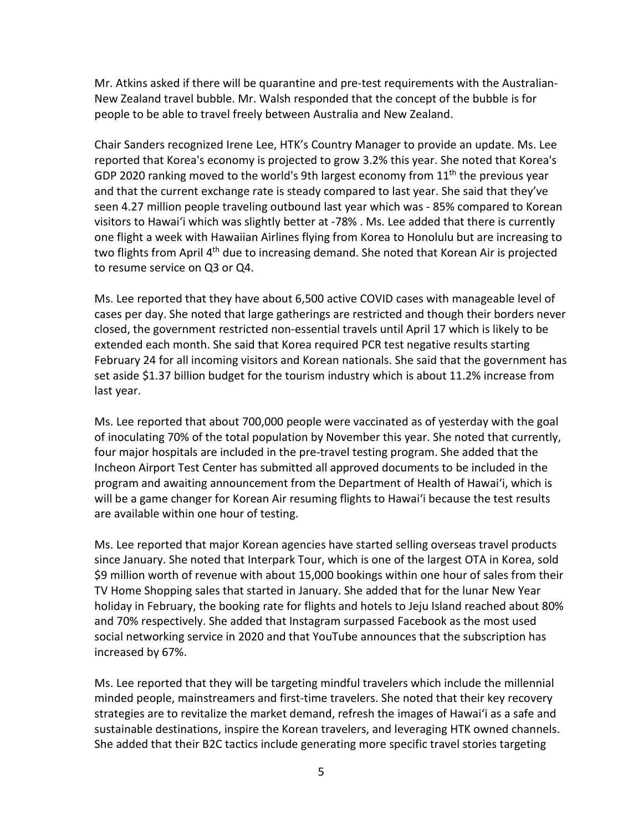New Zealand travel bubble. Mr. Walsh responded that the concept of the bubble is for people to be able to travel freely between Australia and New Zealand. Mr. Atkins asked if there will be quarantine and pre-test requirements with the Australian-

GDP 2020 ranking moved to the world's 9th largest economy from  $11<sup>th</sup>$  the previous year seen 4.27 million people traveling outbound last year which was - 85% compared to Korean one flight a week with Hawaiian Airlines flying from Korea to Honolulu but are increasing to Chair Sanders recognized Irene Lee, HTK's Country Manager to provide an update. Ms. Lee reported that Korea's economy is projected to grow 3.2% this year. She noted that Korea's and that the current exchange rate is steady compared to last year. She said that they've visitors to Hawai'i which was slightly better at -78% . Ms. Lee added that there is currently two flights from April 4<sup>th</sup> due to increasing demand. She noted that Korean Air is projected to resume service on Q3 or Q4.

 Ms. Lee reported that they have about 6,500 active COVID cases with manageable level of February 24 for all incoming visitors and Korean nationals. She said that the government has cases per day. She noted that large gatherings are restricted and though their borders never closed, the government restricted non-essential travels until April 17 which is likely to be extended each month. She said that Korea required PCR test negative results starting set aside \$1.37 billion budget for the tourism industry which is about 11.2% increase from last year.

 four major hospitals are included in the pre-travel testing program. She added that the will be a game changer for Korean Air resuming flights to Hawai'i because the test results are available within one hour of testing. Ms. Lee reported that about 700,000 people were vaccinated as of yesterday with the goal of inoculating 70% of the total population by November this year. She noted that currently, Incheon Airport Test Center has submitted all approved documents to be included in the program and awaiting announcement from the Department of Health of Hawai'i, which is

 since January. She noted that Interpark Tour, which is one of the largest OTA in Korea, sold social networking service in 2020 and that YouTube announces that the subscription has Ms. Lee reported that major Korean agencies have started selling overseas travel products \$9 million worth of revenue with about 15,000 bookings within one hour of sales from their TV Home Shopping sales that started in January. She added that for the lunar New Year holiday in February, the booking rate for flights and hotels to Jeju Island reached about 80% and 70% respectively. She added that Instagram surpassed Facebook as the most used increased by 67%.

 strategies are to revitalize the market demand, refresh the images of Hawai'i as a safe and She added that their B2C tactics include generating more specific travel stories targeting Ms. Lee reported that they will be targeting mindful travelers which include the millennial minded people, mainstreamers and first-time travelers. She noted that their key recovery sustainable destinations, inspire the Korean travelers, and leveraging HTK owned channels.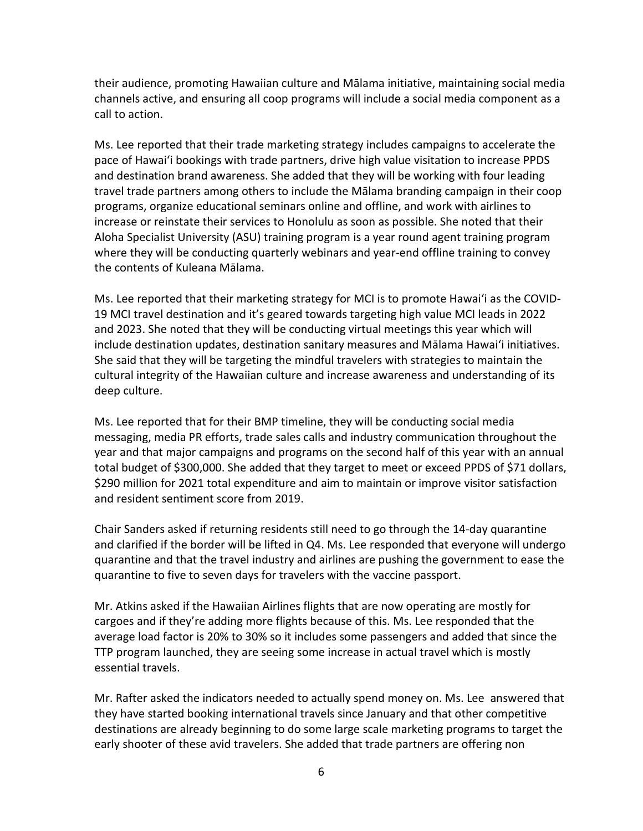their audience, promoting Hawaiian culture and Mālama initiative, maintaining social media channels active, and ensuring all coop programs will include a social media component as a call to action.

 Ms. Lee reported that their trade marketing strategy includes campaigns to accelerate the pace of Hawai'i bookings with trade partners, drive high value visitation to increase PPDS and destination brand awareness. She added that they will be working with four leading programs, organize educational seminars online and offline, and work with airlines to increase or reinstate their services to Honolulu as soon as possible. She noted that their where they will be conducting quarterly webinars and year-end offline training to convey travel trade partners among others to include the Mālama branding campaign in their coop Aloha Specialist University (ASU) training program is a year round agent training program the contents of Kuleana Mālama.

 Ms. Lee reported that their marketing strategy for MCI is to promote Hawai'i as the COVID- 19 MCI travel destination and it's geared towards targeting high value MCI leads in 2022 and 2023. She noted that they will be conducting virtual meetings this year which will include destination updates, destination sanitary measures and Mālama Hawai'i initiatives. deep culture. She said that they will be targeting the mindful travelers with strategies to maintain the cultural integrity of the Hawaiian culture and increase awareness and understanding of its

deep culture.<br>Ms. Lee reported that for their BMP timeline, they will be conducting social media \$290 million for 2021 total expenditure and aim to maintain or improve visitor satisfaction messaging, media PR efforts, trade sales calls and industry communication throughout the year and that major campaigns and programs on the second half of this year with an annual total budget of \$300,000. She added that they target to meet or exceed PPDS of \$71 dollars, and resident sentiment score from 2019.

 Chair Sanders asked if returning residents still need to go through the 14-day quarantine and clarified if the border will be lifted in Q4. Ms. Lee responded that everyone will undergo quarantine and that the travel industry and airlines are pushing the government to ease the quarantine to five to seven days for travelers with the vaccine passport.

 Mr. Atkins asked if the Hawaiian Airlines flights that are now operating are mostly for cargoes and if they're adding more flights because of this. Ms. Lee responded that the average load factor is 20% to 30% so it includes some passengers and added that since the essential travels. TTP program launched, they are seeing some increase in actual travel which is mostly

 destinations are already beginning to do some large scale marketing programs to target the early shooter of these avid travelers. She added that trade partners are offering non Mr. Rafter asked the indicators needed to actually spend money on. Ms. Lee answered that they have started booking international travels since January and that other competitive